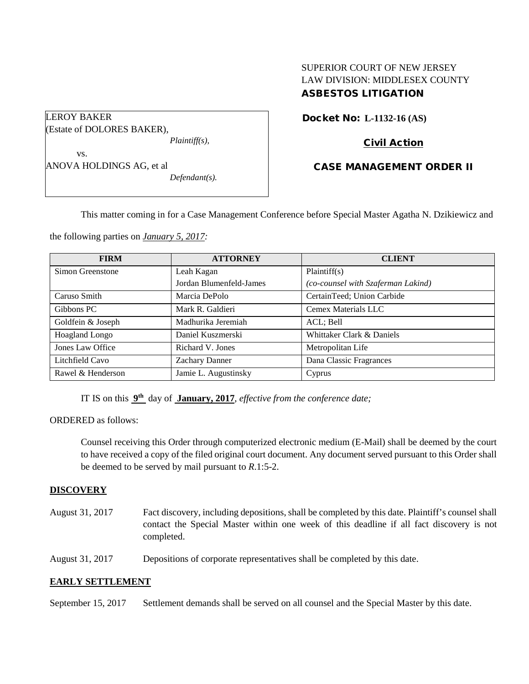# SUPERIOR COURT OF NEW JERSEY LAW DIVISION: MIDDLESEX COUNTY ASBESTOS LITIGATION

| LEROY BAKER                |                  |
|----------------------------|------------------|
| (Estate of DOLORES BAKER), |                  |
|                            | $Plaintiff(s)$ , |
| VS.                        |                  |
| ANOVA HOLDINGS AG, et al   |                  |
|                            | $Defendant(s)$ . |
|                            |                  |

# Docket No: **L-1132-16 (AS)**

# Civil Action

# CASE MANAGEMENT ORDER II

This matter coming in for a Case Management Conference before Special Master Agatha N. Dzikiewicz and

the following parties on *January 5, 2017:*

| <b>FIRM</b>       | <b>ATTORNEY</b>         | <b>CLIENT</b>                      |
|-------------------|-------------------------|------------------------------------|
| Simon Greenstone  | Leah Kagan              | Plaintiff(s)                       |
|                   | Jordan Blumenfeld-James | (co-counsel with Szaferman Lakind) |
| Caruso Smith      | Marcia DePolo           | CertainTeed; Union Carbide         |
| Gibbons PC        | Mark R. Galdieri        | Cemex Materials LLC                |
| Goldfein & Joseph | Madhurika Jeremiah      | ACL; Bell                          |
| Hoagland Longo    | Daniel Kuszmerski       | Whittaker Clark & Daniels          |
| Jones Law Office  | Richard V. Jones        | Metropolitan Life                  |
| Litchfield Cavo   | <b>Zachary Danner</b>   | Dana Classic Fragrances            |
| Rawel & Henderson | Jamie L. Augustinsky    | Cyprus                             |

IT IS on this **9th** day of **January, 2017**, *effective from the conference date;*

ORDERED as follows:

Counsel receiving this Order through computerized electronic medium (E-Mail) shall be deemed by the court to have received a copy of the filed original court document. Any document served pursuant to this Order shall be deemed to be served by mail pursuant to *R*.1:5-2.

### **DISCOVERY**

August 31, 2017 Fact discovery, including depositions, shall be completed by this date. Plaintiff's counsel shall contact the Special Master within one week of this deadline if all fact discovery is not completed.

August 31, 2017 Depositions of corporate representatives shall be completed by this date.

## **EARLY SETTLEMENT**

September 15, 2017 Settlement demands shall be served on all counsel and the Special Master by this date.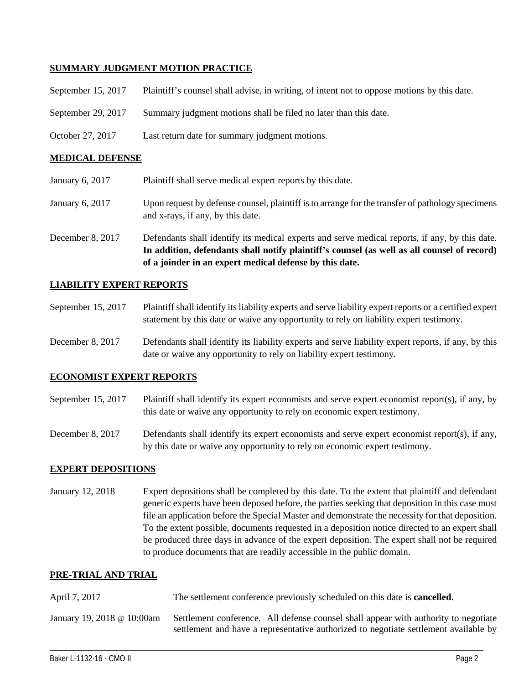### **SUMMARY JUDGMENT MOTION PRACTICE**

| September $15, 2017$ | Plaintiff's counsel shall advise, in writing, of intent not to oppose motions by this date. |
|----------------------|---------------------------------------------------------------------------------------------|
| September 29, 2017   | Summary judgment motions shall be filed no later than this date.                            |
| October 27, 2017     | Last return date for summary judgment motions.                                              |

### **MEDICAL DEFENSE**

| January 6, 2017  | Plaintiff shall serve medical expert reports by this date.                                                                                                                                                                                               |
|------------------|----------------------------------------------------------------------------------------------------------------------------------------------------------------------------------------------------------------------------------------------------------|
| January 6, 2017  | Upon request by defense counsel, plaintiff is to arrange for the transfer of pathology specimens<br>and x-rays, if any, by this date.                                                                                                                    |
| December 8, 2017 | Defendants shall identify its medical experts and serve medical reports, if any, by this date.<br>In addition, defendants shall notify plaintiff's counsel (as well as all counsel of record)<br>of a joinder in an expert medical defense by this date. |

### **LIABILITY EXPERT REPORTS**

September 15, 2017 Plaintiff shall identify its liability experts and serve liability expert reports or a certified expert statement by this date or waive any opportunity to rely on liability expert testimony.

December 8, 2017 Defendants shall identify its liability experts and serve liability expert reports, if any, by this date or waive any opportunity to rely on liability expert testimony.

### **ECONOMIST EXPERT REPORTS**

September 15, 2017 Plaintiff shall identify its expert economists and serve expert economist report(s), if any, by this date or waive any opportunity to rely on economic expert testimony.

December 8, 2017 Defendants shall identify its expert economists and serve expert economist report(s), if any, by this date or waive any opportunity to rely on economic expert testimony.

### **EXPERT DEPOSITIONS**

January 12, 2018 Expert depositions shall be completed by this date. To the extent that plaintiff and defendant generic experts have been deposed before, the parties seeking that deposition in this case must file an application before the Special Master and demonstrate the necessity for that deposition. To the extent possible, documents requested in a deposition notice directed to an expert shall be produced three days in advance of the expert deposition. The expert shall not be required to produce documents that are readily accessible in the public domain.

### **PRE-TRIAL AND TRIAL**

| April 7, 2017              | The settlement conference previously scheduled on this date is <b>cancelled</b> .                                                                                           |
|----------------------------|-----------------------------------------------------------------------------------------------------------------------------------------------------------------------------|
| January 19, 2018 @ 10:00am | Settlement conference. All defense counsel shall appear with authority to negotiate<br>settlement and have a representative authorized to negotiate settlement available by |

\_\_\_\_\_\_\_\_\_\_\_\_\_\_\_\_\_\_\_\_\_\_\_\_\_\_\_\_\_\_\_\_\_\_\_\_\_\_\_\_\_\_\_\_\_\_\_\_\_\_\_\_\_\_\_\_\_\_\_\_\_\_\_\_\_\_\_\_\_\_\_\_\_\_\_\_\_\_\_\_\_\_\_\_\_\_\_\_\_\_\_\_\_\_\_\_\_\_\_\_\_\_\_\_\_\_\_\_\_\_